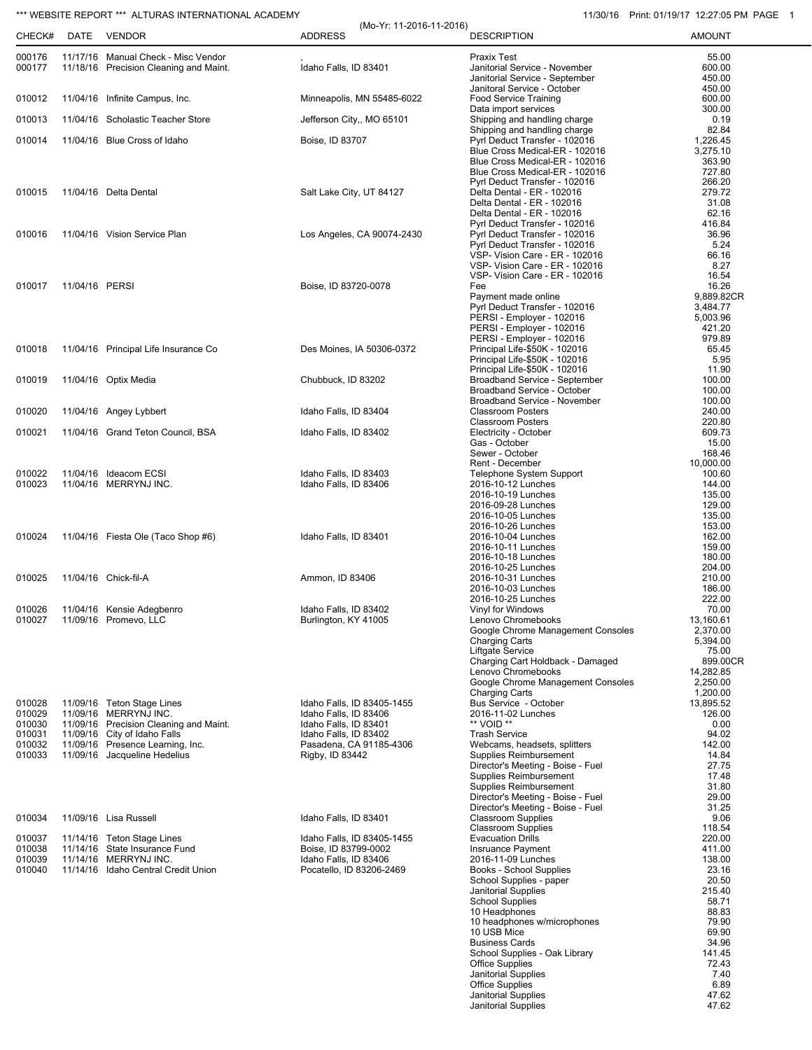## \*\*\* WEBSITE REPORT \*\*\* ALTURAS INTERNATIONAL ACADEMY 11/30/16 Print: 01/19/17 12:27:05 PM PAGE 1

| CHECK#           |                | DATE VENDOR                                                      | (Mo-Yr: 11-2016-11-2016)<br><b>ADDRESS</b> | <b>DESCRIPTION</b>                                             | <b>AMOUNT</b>        |
|------------------|----------------|------------------------------------------------------------------|--------------------------------------------|----------------------------------------------------------------|----------------------|
| 000176           |                | 11/17/16 Manual Check - Misc Vendor                              |                                            | <b>Praxix Test</b>                                             | 55.00                |
| 000177           |                | 11/18/16 Precision Cleaning and Maint.                           | Idaho Falls, ID 83401                      | Janitorial Service - November                                  | 600.00               |
|                  |                |                                                                  |                                            | Janitorial Service - September                                 | 450.00               |
| 010012           |                |                                                                  |                                            | Janitoral Service - October                                    | 450.00               |
|                  |                | 11/04/16 Infinite Campus, Inc.                                   | Minneapolis, MN 55485-6022                 | <b>Food Service Training</b><br>Data import services           | 600.00<br>300.00     |
| 010013           |                | 11/04/16 Scholastic Teacher Store                                | Jefferson City,, MO 65101                  | Shipping and handling charge                                   | 0.19                 |
|                  |                |                                                                  |                                            | Shipping and handling charge                                   | 82.84                |
| 010014           |                | 11/04/16 Blue Cross of Idaho                                     | Boise, ID 83707                            | Pyrl Deduct Transfer - 102016                                  | 1,226.45             |
|                  |                |                                                                  |                                            | Blue Cross Medical-ER - 102016                                 | 3,275.10             |
|                  |                |                                                                  |                                            | Blue Cross Medical-ER - 102016                                 | 363.90               |
|                  |                |                                                                  |                                            | Blue Cross Medical-ER - 102016                                 | 727.80               |
|                  |                |                                                                  |                                            | Pyrl Deduct Transfer - 102016                                  | 266.20               |
| 010015           |                | 11/04/16 Delta Dental                                            | Salt Lake City, UT 84127                   | Delta Dental - ER - 102016                                     | 279.72               |
|                  |                |                                                                  |                                            | Delta Dental - ER - 102016                                     | 31.08<br>62.16       |
|                  |                |                                                                  |                                            | Delta Dental - ER - 102016<br>Pyrl Deduct Transfer - 102016    | 416.84               |
| 010016           |                | 11/04/16 Vision Service Plan                                     | Los Angeles, CA 90074-2430                 | Pyrl Deduct Transfer - 102016                                  | 36.96                |
|                  |                |                                                                  |                                            | Pyrl Deduct Transfer - 102016                                  | 5.24                 |
|                  |                |                                                                  |                                            | VSP- Vision Care - ER - 102016                                 | 66.16                |
|                  |                |                                                                  |                                            | VSP- Vision Care - ER - 102016                                 | 8.27                 |
|                  |                |                                                                  |                                            | VSP- Vision Care - ER - 102016                                 | 16.54                |
| 010017           | 11/04/16 PERSI |                                                                  | Boise, ID 83720-0078                       | Fee                                                            | 16.26                |
|                  |                |                                                                  |                                            | Payment made online                                            | 9,889.82CR           |
|                  |                |                                                                  |                                            | Pyrl Deduct Transfer - 102016                                  | 3,484.77             |
|                  |                |                                                                  |                                            | PERSI - Employer - 102016                                      | 5,003.96             |
|                  |                |                                                                  |                                            | PERSI - Employer - 102016                                      | 421.20               |
|                  |                |                                                                  |                                            | PERSI - Employer - 102016                                      | 979.89               |
| 010018           |                | 11/04/16 Principal Life Insurance Co                             | Des Moines, IA 50306-0372                  | Principal Life-\$50K - 102016                                  | 65.45<br>5.95        |
|                  |                |                                                                  |                                            | Principal Life-\$50K - 102016<br>Principal Life-\$50K - 102016 | 11.90                |
| 010019           |                | 11/04/16 Optix Media                                             | Chubbuck, ID 83202                         | Broadband Service - September                                  | 100.00               |
|                  |                |                                                                  |                                            | Broadband Service - October                                    | 100.00               |
|                  |                |                                                                  |                                            | Broadband Service - November                                   | 100.00               |
| 010020           |                | 11/04/16 Angey Lybbert                                           | Idaho Falls, ID 83404                      | <b>Classroom Posters</b>                                       | 240.00               |
|                  |                |                                                                  |                                            | <b>Classroom Posters</b>                                       | 220.80               |
| 010021           |                | 11/04/16 Grand Teton Council, BSA                                | Idaho Falls, ID 83402                      | Electricity - October                                          | 609.73               |
|                  |                |                                                                  |                                            | Gas - October                                                  | 15.00                |
|                  |                |                                                                  |                                            | Sewer - October                                                | 168.46               |
|                  |                |                                                                  |                                            | Rent - December                                                | 10,000.00            |
| 010022           |                | 11/04/16 Ideacom ECSI                                            | Idaho Falls, ID 83403                      | Telephone System Support                                       | 100.60               |
| 010023           |                | 11/04/16 MERRYNJ INC.                                            | Idaho Falls, ID 83406                      | 2016-10-12 Lunches<br>2016-10-19 Lunches                       | 144.00<br>135.00     |
|                  |                |                                                                  |                                            | 2016-09-28 Lunches                                             | 129.00               |
|                  |                |                                                                  |                                            | 2016-10-05 Lunches                                             | 135.00               |
|                  |                |                                                                  |                                            | 2016-10-26 Lunches                                             | 153.00               |
| 010024           |                | 11/04/16 Fiesta Ole (Taco Shop #6)                               | Idaho Falls, ID 83401                      | 2016-10-04 Lunches                                             | 162.00               |
|                  |                |                                                                  |                                            | 2016-10-11 Lunches                                             | 159.00               |
|                  |                |                                                                  |                                            | 2016-10-18 Lunches                                             | 180.00               |
|                  |                |                                                                  |                                            | 2016-10-25 Lunches                                             | 204.00               |
| 010025           |                | 11/04/16 Chick-fil-A                                             | Ammon, ID 83406                            | 2016-10-31 Lunches                                             | 210.00               |
|                  |                |                                                                  |                                            | 2016-10-03 Lunches                                             | 186.00               |
|                  |                |                                                                  |                                            | 2016-10-25 Lunches                                             | 222.00               |
| 010026           |                | 11/04/16 Kensie Adegbenro                                        | Idaho Falls, ID 83402                      | Vinyl for Windows                                              | 70.00                |
| 010027           |                | 11/09/16 Promevo, LLC                                            | Burlington, KY 41005                       | Lenovo Chromebooks                                             | 13,160.61            |
|                  |                |                                                                  |                                            | Google Chrome Management Consoles<br><b>Charging Carts</b>     | 2,370.00<br>5,394.00 |
|                  |                |                                                                  |                                            | <b>Liftgate Service</b>                                        | 75.00                |
|                  |                |                                                                  |                                            | Charging Cart Holdback - Damaged                               | 899.00CR             |
|                  |                |                                                                  |                                            | Lenovo Chromebooks                                             | 14,282.85            |
|                  |                |                                                                  |                                            | Google Chrome Management Consoles                              | 2,250.00             |
|                  |                |                                                                  |                                            | <b>Charging Carts</b>                                          | 1,200.00             |
| 010028           |                | 11/09/16 Teton Stage Lines                                       | Idaho Falls, ID 83405-1455                 | Bus Service - October                                          | 13,895.52            |
| 010029           |                | 11/09/16 MERRYNJ INC.                                            | Idaho Falls, ID 83406                      | 2016-11-02 Lunches                                             | 126.00               |
| 010030           |                | 11/09/16 Precision Cleaning and Maint.                           | Idaho Falls, ID 83401                      | ** VOID **                                                     | 0.00                 |
| 010031           |                | 11/09/16 City of Idaho Falls                                     | Idaho Falls, ID 83402                      | <b>Trash Service</b>                                           | 94.02                |
| 010032<br>010033 |                | 11/09/16 Presence Learning, Inc.<br>11/09/16 Jacqueline Hedelius | Pasadena, CA 91185-4306<br>Rigby, ID 83442 | Webcams, headsets, splitters<br>Supplies Reimbursement         | 142.00<br>14.84      |
|                  |                |                                                                  |                                            | Director's Meeting - Boise - Fuel                              | 27.75                |
|                  |                |                                                                  |                                            | <b>Supplies Reimbursement</b>                                  | 17.48                |
|                  |                |                                                                  |                                            | Supplies Reimbursement                                         | 31.80                |
|                  |                |                                                                  |                                            | Director's Meeting - Boise - Fuel                              | 29.00                |
|                  |                |                                                                  |                                            | Director's Meeting - Boise - Fuel                              | 31.25                |
| 010034           |                | 11/09/16 Lisa Russell                                            | Idaho Falls, ID 83401                      | <b>Classroom Supplies</b>                                      | 9.06                 |
|                  |                |                                                                  |                                            | <b>Classroom Supplies</b>                                      | 118.54               |
| 010037           |                | 11/14/16 Teton Stage Lines                                       | Idaho Falls, ID 83405-1455                 | <b>Evacuation Drills</b>                                       | 220.00               |
| 010038           |                | 11/14/16 State Insurance Fund                                    | Boise, ID 83799-0002                       | Insruance Payment                                              | 411.00               |
| 010039<br>010040 |                | 11/14/16 MERRYNJ INC.                                            | Idaho Falls, ID 83406                      | 2016-11-09 Lunches                                             | 138.00               |
|                  |                | 11/14/16 Idaho Central Credit Union                              | Pocatello, ID 83206-2469                   | Books - School Supplies<br>School Supplies - paper             | 23.16<br>20.50       |
|                  |                |                                                                  |                                            | Janitorial Supplies                                            | 215.40               |
|                  |                |                                                                  |                                            | <b>School Supplies</b>                                         | 58.71                |
|                  |                |                                                                  |                                            | 10 Headphones                                                  | 88.83                |
|                  |                |                                                                  |                                            | 10 headphones w/microphones                                    | 79.90                |
|                  |                |                                                                  |                                            | 10 USB Mice                                                    | 69.90                |
|                  |                |                                                                  |                                            | <b>Business Cards</b>                                          | 34.96                |
|                  |                |                                                                  |                                            | School Supplies - Oak Library                                  | 141.45               |
|                  |                |                                                                  |                                            | <b>Office Supplies</b>                                         | 72.43                |
|                  |                |                                                                  |                                            | Janitorial Supplies                                            | 7.40                 |
|                  |                |                                                                  |                                            | <b>Office Supplies</b>                                         | 6.89                 |
|                  |                |                                                                  |                                            | Janitorial Supplies                                            | 47.62                |
|                  |                |                                                                  |                                            | <b>Janitorial Supplies</b>                                     | 47.62                |